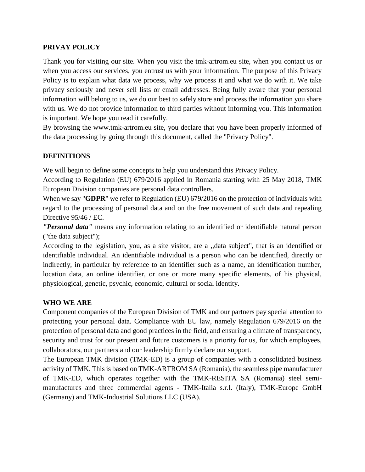#### **PRIVAY POLICY**

Thank you for visiting our site. When you visit the tmk-artrom.eu site, when you contact us or when you access our services, you entrust us with your information. The purpose of this Privacy Policy is to explain what data we process, why we process it and what we do with it. We take privacy seriously and never sell lists or email addresses. Being fully aware that your personal information will belong to us, we do our best to safely store and process the information you share with us. We do not provide information to third parties without informing you. This information is important. We hope you read it carefully.

By browsing the www.tmk-artrom.eu site, you declare that you have been properly informed of the data processing by going through this document, called the "Privacy Policy".

### **DEFINITIONS**

We will begin to define some concepts to help you understand this Privacy Policy.

According to Regulation (EU) 679/2016 applied in Romania starting with 25 May 2018, TMK European Division companies are personal data controllers.

When we say "**GDPR**" we refer to Regulation (EU) 679/2016 on the protection of individuals with regard to the processing of personal data and on the free movement of such data and repealing Directive 95/46 / EC.

*"Personal data"* means any information relating to an identified or identifiable natural person ("the data subject");

According to the legislation, you, as a site visitor, are a ,,data subject", that is an identified or identifiable individual. An identifiable individual is a person who can be identified, directly or indirectly, in particular by reference to an identifier such as a name, an identification number, location data, an online identifier, or one or more many specific elements, of his physical, physiological, genetic, psychic, economic, cultural or social identity.

#### **WHO WE ARE**

Component companies of the European Division of TMK and our partners pay special attention to protecting your personal data. Compliance with EU law, namely Regulation 679/2016 on the protection of personal data and good practices in the field, and ensuring a climate of transparency, security and trust for our present and future customers is a priority for us, for which employees, collaborators, our partners and our leadership firmly declare our support.

The European TMK division (TMK-ED) is a group of companies with a consolidated business activity of TMK. This is based on TMK-ARTROM SA (Romania), the seamless pipe manufacturer of TMK-ED, which operates together with the TMK-RESITA SA (Romania) steel semimanufactures and three commercial agents - TMK-Italia s.r.l. (Italy), TMK-Europe GmbH (Germany) and TMK-Industrial Solutions LLC (USA).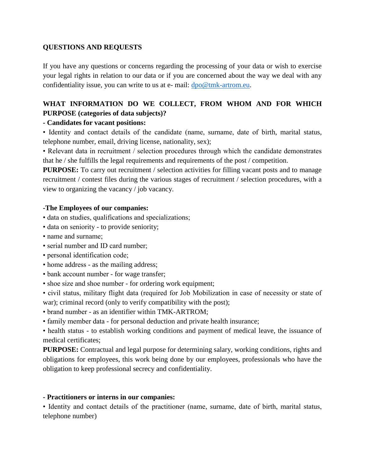### **QUESTIONS AND REQUESTS**

If you have any questions or concerns regarding the processing of your data or wish to exercise your legal rights in relation to our data or if you are concerned about the way we deal with any confidentiality issue, you can write to us at e- mail: [dpo@tmk-artrom.eu.](mailto:dpo@tmk-artrom.eu)

# **WHAT INFORMATION DO WE COLLECT, FROM WHOM AND FOR WHICH PURPOSE (categories of data subjects)?**

### **- Candidates for vacant positions:**

• Identity and contact details of the candidate (name, surname, date of birth, marital status, telephone number, email, driving license, nationality, sex);

• Relevant data in recruitment / selection procedures through which the candidate demonstrates that he / she fulfills the legal requirements and requirements of the post / competition.

**PURPOSE:** To carry out recruitment / selection activities for filling vacant posts and to manage recruitment / contest files during the various stages of recruitment / selection procedures, with a view to organizing the vacancy / job vacancy.

#### **-The Employees of our companies:**

- data on studies, qualifications and specializations;
- data on seniority to provide seniority;
- name and surname;
- serial number and ID card number;
- personal identification code;
- home address as the mailing address;
- bank account number for wage transfer;
- shoe size and shoe number for ordering work equipment;

• civil status, military flight data (required for Job Mobilization in case of necessity or state of war); criminal record (only to verify compatibility with the post);

- brand number as an identifier within TMK-ARTROM;
- family member data for personal deduction and private health insurance;

• health status - to establish working conditions and payment of medical leave, the issuance of medical certificates;

**PURPOSE:** Contractual and legal purpose for determining salary, working conditions, rights and obligations for employees, this work being done by our employees, professionals who have the obligation to keep professional secrecy and confidentiality.

#### **- Practitioners or interns in our companies:**

• Identity and contact details of the practitioner (name, surname, date of birth, marital status, telephone number)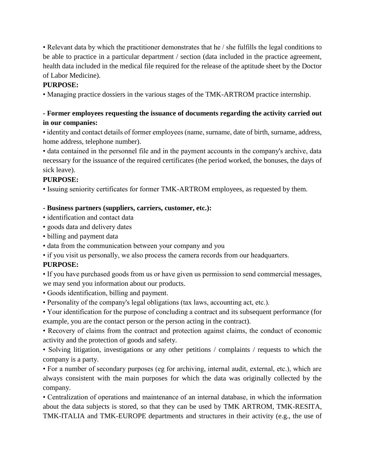• Relevant data by which the practitioner demonstrates that he / she fulfills the legal conditions to be able to practice in a particular department / section (data included in the practice agreement, health data included in the medical file required for the release of the aptitude sheet by the Doctor of Labor Medicine).

# **PURPOSE:**

• Managing practice dossiers in the various stages of the TMK-ARTROM practice internship.

# **- Former employees requesting the issuance of documents regarding the activity carried out in our companies:**

• identity and contact details of former employees (name, surname, date of birth, surname, address, home address, telephone number).

• data contained in the personnel file and in the payment accounts in the company's archive, data necessary for the issuance of the required certificates (the period worked, the bonuses, the days of sick leave).

### **PURPOSE:**

• Issuing seniority certificates for former TMK-ARTROM employees, as requested by them.

### **- Business partners (suppliers, carriers, customer, etc.):**

- identification and contact data
- goods data and delivery dates
- billing and payment data
- data from the communication between your company and you

• if you visit us personally, we also process the camera records from our headquarters.

# **PURPOSE:**

• If you have purchased goods from us or have given us permission to send commercial messages, we may send you information about our products.

- Goods identification, billing and payment.
- Personality of the company's legal obligations (tax laws, accounting act, etc.).

• Your identification for the purpose of concluding a contract and its subsequent performance (for example, you are the contact person or the person acting in the contract).

• Recovery of claims from the contract and protection against claims, the conduct of economic activity and the protection of goods and safety.

• Solving litigation, investigations or any other petitions / complaints / requests to which the company is a party.

• For a number of secondary purposes (eg for archiving, internal audit, external, etc.), which are always consistent with the main purposes for which the data was originally collected by the company.

• Centralization of operations and maintenance of an internal database, in which the information about the data subjects is stored, so that they can be used by TMK ARTROM, TMK-RESITA, TMK-ITALIA and TMK-EUROPE departments and structures in their activity (e.g., the use of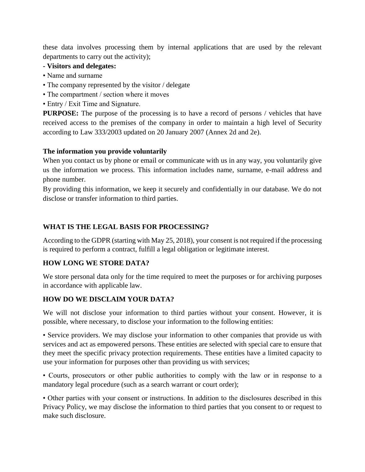these data involves processing them by internal applications that are used by the relevant departments to carry out the activity);

- **- Visitors and delegates:**
- Name and surname
- The company represented by the visitor / delegate
- The compartment / section where it moves
- Entry / Exit Time and Signature.

**PURPOSE:** The purpose of the processing is to have a record of persons / vehicles that have received access to the premises of the company in order to maintain a high level of Security according to Law 333/2003 updated on 20 January 2007 (Annex 2d and 2e).

### **The information you provide voluntarily**

When you contact us by phone or email or communicate with us in any way, you voluntarily give us the information we process. This information includes name, surname, e-mail address and phone number.

By providing this information, we keep it securely and confidentially in our database. We do not disclose or transfer information to third parties.

# **WHAT IS THE LEGAL BASIS FOR PROCESSING?**

According to the GDPR (starting with May 25, 2018), your consent is not required if the processing is required to perform a contract, fulfill a legal obligation or legitimate interest.

### **HOW LONG WE STORE DATA?**

We store personal data only for the time required to meet the purposes or for archiving purposes in accordance with applicable law.

# **HOW DO WE DISCLAIM YOUR DATA?**

We will not disclose your information to third parties without your consent. However, it is possible, where necessary, to disclose your information to the following entities:

• Service providers. We may disclose your information to other companies that provide us with services and act as empowered persons. These entities are selected with special care to ensure that they meet the specific privacy protection requirements. These entities have a limited capacity to use your information for purposes other than providing us with services;

• Courts, prosecutors or other public authorities to comply with the law or in response to a mandatory legal procedure (such as a search warrant or court order);

• Other parties with your consent or instructions. In addition to the disclosures described in this Privacy Policy, we may disclose the information to third parties that you consent to or request to make such disclosure.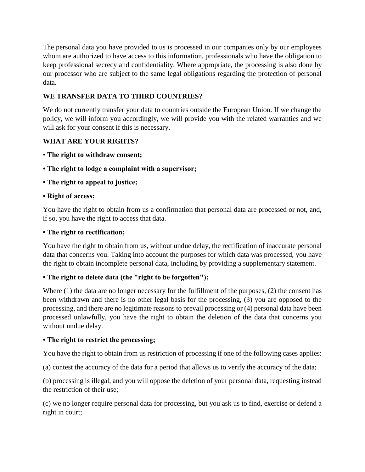The personal data you have provided to us is processed in our companies only by our employees whom are authorized to have access to this information, professionals who have the obligation to keep professional secrecy and confidentiality. Where appropriate, the processing is also done by our processor who are subject to the same legal obligations regarding the protection of personal data.

# **WE TRANSFER DATA TO THIRD COUNTRIES?**

We do not currently transfer your data to countries outside the European Union. If we change the policy, we will inform you accordingly, we will provide you with the related warranties and we will ask for your consent if this is necessary.

# **WHAT ARE YOUR RIGHTS?**

- **The right to withdraw consent;**
- **The right to lodge a complaint with a supervisor;**
- **The right to appeal to justice;**

### **• Right of access;**

You have the right to obtain from us a confirmation that personal data are processed or not, and, if so, you have the right to access that data.

### **• The right to rectification;**

You have the right to obtain from us, without undue delay, the rectification of inaccurate personal data that concerns you. Taking into account the purposes for which data was processed, you have the right to obtain incomplete personal data, including by providing a supplementary statement.

# **• The right to delete data (the "right to be forgotten");**

Where (1) the data are no longer necessary for the fulfillment of the purposes, (2) the consent has been withdrawn and there is no other legal basis for the processing, (3) you are opposed to the processing, and there are no legitimate reasons to prevail processing or (4) personal data have been processed unlawfully, you have the right to obtain the deletion of the data that concerns you without undue delay.

### **• The right to restrict the processing;**

You have the right to obtain from us restriction of processing if one of the following cases applies:

(a) contest the accuracy of the data for a period that allows us to verify the accuracy of the data;

(b) processing is illegal, and you will oppose the deletion of your personal data, requesting instead the restriction of their use;

(c) we no longer require personal data for processing, but you ask us to find, exercise or defend a right in court;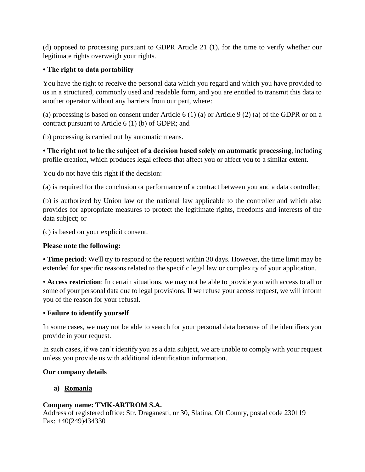(d) opposed to processing pursuant to GDPR Article 21 (1), for the time to verify whether our legitimate rights overweigh your rights.

### **• The right to data portability**

You have the right to receive the personal data which you regard and which you have provided to us in a structured, commonly used and readable form, and you are entitled to transmit this data to another operator without any barriers from our part, where:

(a) processing is based on consent under Article 6 (1) (a) or Article 9 (2) (a) of the GDPR or on a contract pursuant to Article 6 (1) (b) of GDPR; and

(b) processing is carried out by automatic means.

**• The right not to be the subject of a decision based solely on automatic processing**, including profile creation, which produces legal effects that affect you or affect you to a similar extent.

You do not have this right if the decision:

(a) is required for the conclusion or performance of a contract between you and a data controller;

(b) is authorized by Union law or the national law applicable to the controller and which also provides for appropriate measures to protect the legitimate rights, freedoms and interests of the data subject; or

(c) is based on your explicit consent.

### **Please note the following:**

• **Time period**: We'll try to respond to the request within 30 days. However, the time limit may be extended for specific reasons related to the specific legal law or complexity of your application.

• **Access restriction**: In certain situations, we may not be able to provide you with access to all or some of your personal data due to legal provisions. If we refuse your access request, we will inform you of the reason for your refusal.

### • **Failure to identify yourself**

In some cases, we may not be able to search for your personal data because of the identifiers you provide in your request.

In such cases, if we can't identify you as a data subject, we are unable to comply with your request unless you provide us with additional identification information.

# **Our company details**

# **a) Romania**

# **Company name: TMK-ARTROM S.A.**

Address of registered office: Str. Draganesti, nr 30, Slatina, Olt County, postal code 230119 Fax: +40(249)434330